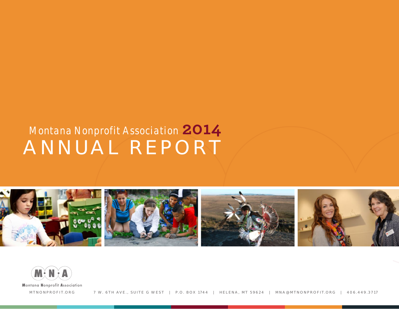## **ANNUAL REPORT** *Montana Nonprofit Association* **2014**



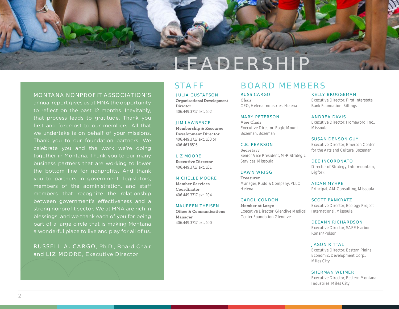

#### **MONTANA NONPROFIT ASSOCIATION'S**

annual report gives us at MNA the opportunity to reflect on the past 12 months. Inevitably, that process leads to gratitude. Thank you first and foremost to our members. All that we undertake is on behalf of your missions. Thank you to our foundation partners. We celebrate you and the work we're doing together in Montana. Thank you to our many business partners that are working to lower the bottom line for nonprofits. And thank you to partners in government: legislators, members of the administration, and staff members that recognize the relationship between government's effectiveness and a strong nonprofit sector. We at MNA are rich in blessings, and we thank each of you for being part of a large circle that is making Montana a wonderful place to live and play for all of us.

**RUSSELL A. CARGO**, Ph.D., Board Chair and **LIZ MOORE**, Executive Director

**JULIA GUSTAFSON Organizational Development Director** 406.449.3717 ext. 102

#### **JIM LAWRENCE**

**Membership & Resource Development Director** 406.449.3717 ext. 103 or 406.461.8516

**LIZ MOORE Executive Director** 406.449.3717 ext. 101

#### **MICHELLE MOORE**

**Member Services Coordinator** 406.449.3717 ext. 104

#### **MAUREEN THEISEN**

**Office & Communications Manager** 406.449.3717 ext. 100

### **STAFF BOARD MEMBERS**

**RUSS CARGO**, **Chair** CEO, Helena Industries, Helena

**MARY PETERSON Vice Chair**

Executive Director, Eagle Mount Bozeman, Bozeman

#### **C.B. PEARSON**

**Secretary** Senior Vice President, M+R Strategic Services, Missoula

#### **DAWN WRIGG**

**Treasurer** Manager, Rudd & Company, PLLC Helena

**CAROL CONDON Member at Large**  Executive Director, Glendive Medical Center Foundation Glendive

#### **KELLY BRUGGEMAN**

Executive Director, First Interstate Bank Foundation, Billings

**ANDREA DAVIS** Executive Director, Homeword, Inc., Missoula

**SUSAN DENSON GUY** Executive Director, Emerson Center for the Arts and Culture, Bozeman

**DEE INCORONATO** Director of Strategy, Intermountain, Bigfork

**AIDAN MYHRE** Principal, AM Consulting, Missoula

#### **SCOTT PANKRATZ** Executive Director, Ecology Project International, Missoula

**DEEANN RICHARDSON** Executive Director, SAFE Harbor Ronan/Polson

#### **JASON RITTAL**

Executive Director, Eastern Plains Economic, Development Corp., Miles City

#### **SHERMAN WEIMER**

Executive Director, Eastern Montana Industries, Miles City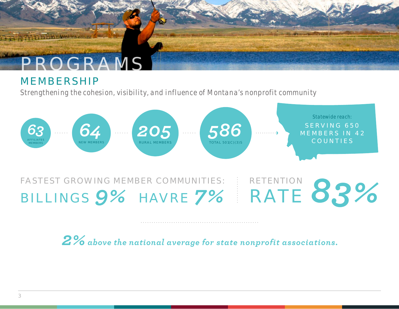### **MEMBERSHIP**

*Strengthening the cohesion, visibility, and influence of Montana's nonprofit community*



# **BILLINGS 9% HAVRE** 7% RETENTION<br> **RATE** 83%

*2%above the national average for state nonprofit associations.*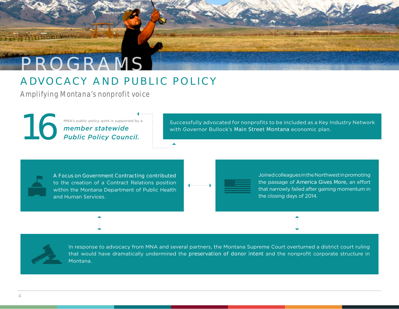### **ADVOCACY AND PUBLIC POLICY**

*Amplifying Montana's nonprofit voice*

**1669 Public Policy Work is supported by a**<br>**Public Policy Council.** 

Successfully advocated for nonprofits to be included as a Key Industry Network with Governor Bullock's *Main Street Montana* economic plan.

*A Focus on Government Contracting contributed* to the creation of a Contract Relations position within the Montana Department of Public Health and Human Services.

Joined colleagues in the Northwest in promoting the passage of *America Gives More,* an effort that narrowly failed after gaining momentum in the closing days of 2014.

In response to advocacy from MNA and several partners, the Montana Supreme Court overturned a district court ruling that would have dramatically undermined the *preservation of donor intent* and the nonprofit corporate structure in Montana.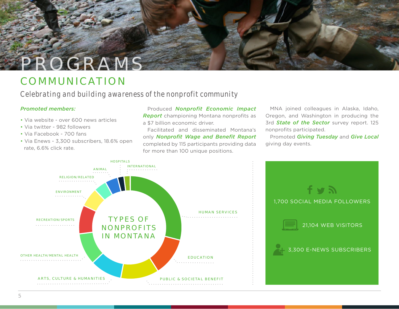## **COMMUNICATION**

*Celebrating and building awareness of the nonprofit community* 

#### *Promoted members:*

- Via website over 600 news articles
- Via twitter 982 followers
- Via Facebook 700 fans
- Via Enews 3,300 subscribers, 18.6% open rate, 6.6% click rate.

Produced *Nonprofit Economic Impact Report* championing Montana nonprofits as a \$7 billion economic driver.

Facilitated and disseminated Montana's only *Nonprofit Wage and Benefit Report*  completed by 115 participants providing data for more than 100 unique positions.

MNA joined colleagues in Alaska, Idaho, Oregon, and Washington in producing the 3rd *State of the Sector* survey report. 125 nonprofits participated.

Promoted *Giving Tuesday* and *Give Local*  giving day events.

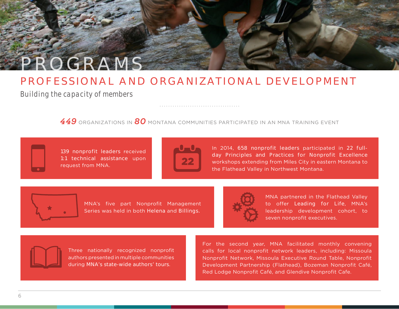## **PROFESSIONAL AND ORGANIZATIONAL DEVELOPMENT**

*Building the capacity of members*

**PROGRAMS**

*449* ORGANIZATIONS IN *80* MONTANA COMMUNITIES PARTICIPATED IN AN MNA TRAINING EVENT

139 nonprofit leaders received *1:1 technical assistance* upon request from MNA.



In 2014, *658 nonprofit leaders* participated in *22 fullday Principles and Practices for Nonprofit Excellence* workshops extending from Miles City in eastern Montana to the Flathead Valley in Northwest Montana.



MNA's five part Nonprofit Management Series was held in both *Helena* and *Billings.*



MNA partnered in the Flathead Valley to offer *Leading for Life*, MNA's leadership development cohort, to seven nonprofit executives.

Three nationally recognized nonprofit authors presented in multiple communities during *MNA's state-wide authors' tours*.

For the second year, MNA facilitated monthly convening calls for local nonprofit network leaders, including: Missoula Nonprofit Network, Missoula Executive Round Table, Nonprofit Development Partnership (Flathead), Bozeman Nonprofit Café, Red Lodge Nonprofit Café, and Glendive Nonprofit Cafe.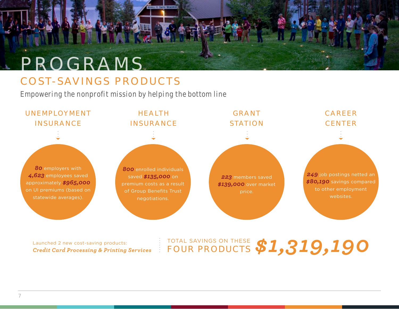## **COST-SAVINGS PRODUCTS**

*Empowering the nonprofit mission by helping the bottom line*



Launched 2 new cost-saving products: *Credit Card Processing & Printing Services*

### TOTAL SAVINGS ON THESE **FOUR PRODUCTS** *\$1,319,190*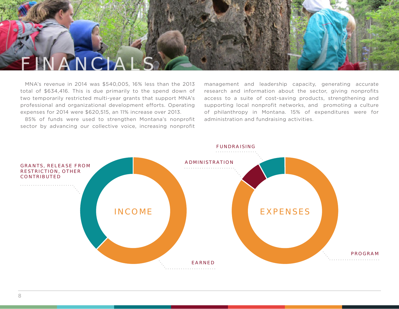

MNA's revenue in 2014 was \$540,005, 16% less than the 2013 total of \$634,416. This is due primarily to the spend down of two temporarily restricted multi-year grants that support MNA's professional and organizational development efforts. Operating expenses for 2014 were \$620,515, an 11% increase over 2013.

85% of funds were used to strengthen Montana's nonprofit sector by advancing our collective voice, increasing nonprofit

management and leadership capacity, generating accurate research and information about the sector, giving nonprofits access to a suite of cost-saving products, strengthening and supporting local nonprofit networks, and promoting a culture of philanthropy in Montana. 15% of expenditures were for administration and fundraising activities.

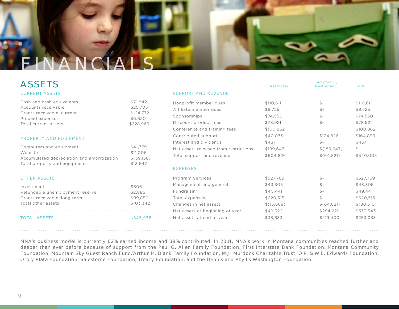

### ASSETS

#### **CURRENT ASSETS**

| Cash and cash equivalents  | \$71.842  |
|----------------------------|-----------|
| Accounts receivable        | \$25,705  |
| Grants receivable, current | \$124,772 |
| Prepaid expenses           | \$6.650   |
| Total current assets       | \$228.969 |

#### **PROPERTY AND EQUIPMENT**

| Computers and equipment                    | \$41.779   |
|--------------------------------------------|------------|
| Website                                    | \$11,006   |
| Accumulated depreciation and amoritization | \$(39.138) |
| Total property and equipment               | \$13.647   |

#### **OTHER ASSETS**

| Investments                     | \$606     |
|---------------------------------|-----------|
| Refundable unemployment reserve | \$2.886   |
| Grants receivable, long term    | \$99.850  |
| Total other assets              | \$103.342 |
|                                 |           |
| <b>TOTAL ASSETS</b>             | \$345.958 |

|                                       | Unrestricted | Temporarily<br><b>Restricted</b> | Total      |
|---------------------------------------|--------------|----------------------------------|------------|
| <b>SUPPORT AND REVENUE</b>            |              |                                  |            |
| Nonprofit member dues                 | \$110,611    | $$-$                             | \$110,611  |
| Affiliate member dues                 | \$9,725      | $$-$                             | \$9,725    |
| Sponsorships                          | \$74,550     | $$-$                             | \$74,550   |
| Discount product fees                 | \$78,921     | $$-$                             | \$78,921   |
| Conference and training fees          | \$100,862    |                                  | \$100,862  |
| Contributed support                   | \$40,073     | \$124,826                        | \$164,899  |
| Interest and dividends                | \$437        | $$ -$                            | \$437      |
| Net assets released from restrictions | \$189,647    | \$(189, 647)                     | $$ -$      |
| Total support and revenue             | \$604,826    | \$(64,821)                       | \$540,005  |
| <b>EXPENSES</b>                       |              |                                  |            |
| Program Services                      | \$527,769    | $$-$                             | \$527,769  |
| Management and general                | \$43,305     | $$-$                             | \$43,305   |
| Fundraising                           | \$40.441     | $$-$                             | \$49.441   |
| Total expenses                        | \$620,515    | $$-$                             | \$620,515  |
| Changes in net assets                 | \$(15,689)   | \$(64,821)                       | \$(80,510) |
| Net assets at beginning of year       | \$49,322     | \$284,221                        | \$333,543  |
| Net assets at end of year             | \$33,633     | \$219,400                        | \$253,033  |
|                                       |              |                                  |            |

*MNA's business model is currently 62% earned income and 38% contributed. In 2014, MNA's work in Montana communities reached further and deeper than ever before because of support from the Paul G. Allen Family Foundation, First Interstate Bank Foundation, Montana Community Foundation, Mountain Sky Guest Ranch Fund/Arthur M. Blank Family Foundation, M.J. Murdock Charitable Trust, O.P. & W.E. Edwards Foundation, Oro y Plata Foundation, Salesforce Foundation, Treacy Foundation, and the Dennis and Phyllis Washington Foundation.*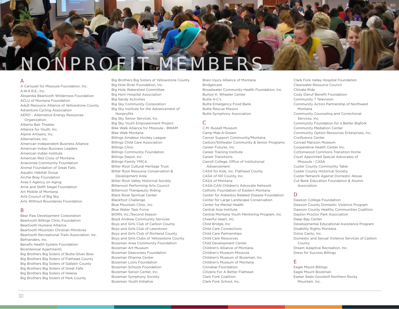

#### **A**

A Carousel for Missoula Foundation, Inc.  $AWARF$ . Inc. Absaroka Beartooth Wilderness Foundation ACLU of Montana Foundation Adult Resource Alliance of Yellowstone County Adventure Cycling Association AERO - Alternative Energy Resources **Organization** Alberta Bair Theater Alliance for Youth, Inc. Alpine Artisans, Inc. Alternatives, Inc. American Independent Business Alliance American Indian Business Leaders American Indian Institute American Red Cross of Montana Anaconda Community Foundation Animal Foundation of Great Falls Aquatic Habitat Group Archie Bray Foundation Area II Agency on Aging Arne and Steffi Siegel Foundation Art Mobile of Montana Arts Council of Big Sky Arts Without Boundaries Foundation

#### **B**

Bear Paw Development Corporation Beartooth Billings Clinic Foundation Beartooth Humane Alliance Beartooth Mountain Christian Ministries Beartooth Recreational Trails Association, Inc. Befrienders, Inc. Benefis Health System Foundation Bicentennial Apartments Big Brothers Big Sisters of Butte-Silver Bow Big Brothers Big Sisters of Flathead County Big Brothers Big Sisters of Gallatin County Big Brothers Big Sisters of Great Falls Big Brothers Big Sisters of Helena Big Brothers Big Sisters of Park County

Big Brothers Big Sisters of Yellowstone County Big Hole River Foundation, Inc. Big Hole Watershed Committee Big Horn Hospital Association Big Sandy Activities Big Sky Community Corporation Big Sky Institute for the Advancement of Nonprofits Big Sky Senior Services, Inc. Big Sky Youth Empowerment Project Bike Walk Alliance for Missoula - BWAM Bike Walk Montana Billings Amateur Hockey League Billings Child Care Association Billings Clinic Billings Community Foundation Billings Depot, Inc. Billings Family YMCA Bitter Root Cultural Heritage Trust Bitter Root Resource Conservation & Development Area Bitter Root Valley Historical Society Bitterroot Performing Arts Council Bitterroot Therapeutic Riding Black Rose Spiritual Center Blackfoot Challenge Blue Mountain Clinic, Inc. Blue Water Task Force BORN, Inc./Second Season Boyd Andrew Community Services Boys and Girls Club of Carbon County Boys and Girls Club of Lewistown Boys and Girls Club of Richland County Boys and Girls Clubs of Yellowstone County Bozeman Area Community Foundation Bozeman Art Museum Bozeman Deaconess Foundation Bozeman Dharma Center Bozeman Lions Foundation Bozeman Schools Foundation Bozeman Senior Center, Inc. Bozeman Symphony Society Bozeman Youth Initiative

Brain Injury Alliance of Montana Bridgercare Broadwater Community Health Foundation, Inc. Burton K. Wheeler Center Butte 4-C's Butte Emergency Food Bank Butte Rescue Mission Butte Symphony Association

#### **C**

C.M. Russell Museum Camp Mak-A-Dream Cancer Support Community/Montana Carbon/Stillwater Community & Senior Programs Career Futures, Inc. Career Training Institute Career Transitions Carroll College, Office of Institutional Advancement CASA for Kids, Inc. Flathead County CASA of Hill County, Inc. CASA of Montana CASA-CAN Children's Advocate Network Catholic Foundation of Eastern Montana Center for Asbestos Related Disease Foundation Center for Large Landscape Conservation Center for Mental Health Central Asia Institute Central Montana Youth Mentoring Program, Inc. Cheerful Heart, Inc. Child Bridge, Inc. Child Care Connections Child Care Partnerships Child Care Resources Child Development Center Children's Alliance of Montana Children's Museum Missoula Children's Museum of Bozeman, Inc. Children's Museum of Montana Cinnabar Foundation Citizens For A Better Flathead Clark Fork Coalition Clark Fork School, Inc.

Clark Fork Valley Hospital Foundation Clearwater Resource Council Climate Ride Cody Dieruf Benefit Foundation Community 7 Television Community Action Partnership of Northwest Montana Community Counseling and Correctional Services, Inc. Community Foundation for a Better Bigfork Community Mediation Center Community Option Resources Enterprises, Inc. Confluence Center Conrad Mansion Museum Cooperative Health Center Inc. Cottonwood Commons Transition Home Court Appointed Special Advocates of Missoula - CASA Custer County Community Table Custer County Historical Society Custer Network Against Domestic Abuse Cut Bank Education Foundation & Alumni Association

#### **D**

Dawson College Foundation Dawson County Domestic Violence Program Dawson County Healthy Communities Coalition Dayton Proctor Park Association Deep Bay Center Developmental Educational Assistance Program Disability Rights Montana Dolce Canto, Inc. Domestic and Sexual Violence Services of Carbon County Dream Adaptive Recreation, Inc. Dress for Success Billings

#### **E**

Eagle Mount Billings Eagle Mount Bozeman Easter Seals-Goodwill Northern Rocky Mountain, Inc.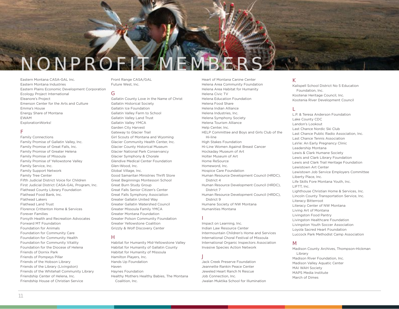

Eastern Montana CASA-GAL Inc. Eastern Montana Industries Eastern Plains Economic Development Corporation Ecology Project International Eleanore's Project Emerson Center for the Arts and Culture Emma's House Energy Share of Montana EWAM ExplorationWorks!

#### **F**

Family Connections Family Promise of Gallatin Valley, Inc. Family Promise of Great Falls, Inc. Family Promise of Greater Helena Family Promise of Missoula Family Promise of Yellowstone Valley Family Service, Inc. Family Support Network Family Tree Center Fifth Judicial District Voice for Children First Judicial District CASA-GAL Program, Inc. Flathead County Library Foundation Flathead Food Bank, Inc. Flathead Lakers Flathead Land Trust Florence Crittenton Home & Services Forever Families Forsyth Health and Recreation Advocates Forward MT Foundation Foundation for Animals Foundation for Community Care Foundation for Community Health Foundation for Community Vitality Foundation for the Diocese of Helena Friends of Dornix Park Friends of Pompeys Pillar Friends of the Hobson Library Friends of the Library (Livingston) Friends of the Whitehall Community Library Friendship Center of Helena, Inc. Friendship House of Christian Service

Front Range CASA/GAL Future West, Inc.

#### **G**

Gallatin County Love in the Name of Christ Gallatin Historical Society Gallatin Ice Foundation Gallatin Valley Farm to School Gallatin Valley Land Trust Gallatin Valley YMCA Garden City Harvest Gateway to Glacier Trail Girl Scouts of Montana and Wyoming Glacier Community Health Center, Inc. Glacier County Historical Museum Glacier National Park Conservancy Glacier Symphony & Chorale Glendive Medical Center Foundation Glen-Wood, Inc. Global Village, Inc. Good Samaritan Ministries Thrift Store Great Beginnings Montessori School Great Burn Study Group Great Falls Senior Citizen's Center Great Falls Symphony Association Greater Gallatin United Way Greater Gallatin Watershed Council Greater Missoula Family YMCA Greater Montana Foundation Greater Polson Community Foundation Greater Yellowstone Coalition Grizzly & Wolf Discovery Center

#### **H**

Habitat for Humanity Mid-Yellowstone Valley Habitat for Humanity of Gallatin County Habitat for Humanity of Missoula Hamilton Players, Inc. Hands Up Foundation Haven Haynes Foundation Healthy Mothers Healthy Babies, The Montana Coalition, Inc.

Heart of Montana Canine Center Helena Area Community Foundation Helena Area Habitat for Humanity Helena Civic TV Helena Education Foundation Helena Food Share Helena Indian Alliance Helena Industries, Inc. Helena Symphony Society Helena Tourism Alliance Help Center, Inc. HELP Committee and Boys and Girls Club of the Hi-line High Stakes Foundation Hi-Line Women Against Breast Cancer Hockaday Museum of Art Holter Museum of Art Home ReSource Homeword, Inc. Hospice Care Foundation Human Resource Development Council (HRDC), District 4 Human Resource Development Council (HRDC), District 7 Human Resource Development Council (HRDC), District 9 Humane Society of NW Montana Humanities Montana

#### **I**

Impact on Learning, Inc. Indian Law Resource Center Intermountain Children's Home and Services International Choral Festival of Missoula International Organic Inspectors Association Invasive Species Action Network

#### **J**

Jack Creek Preserve Foundation Jeannette Rankin Peace Center Jeweled Heart Ranch N Rescue Job Connection, Inc. Jwalan Muktika School for Illumination

#### **K**

Kalispell School District No 5 Education Foundation, Inc. Kootenai Heritage Council, Inc. Kootenia River Development Council

#### **L**

L.P. & Teresa Anderson Foundation Lake County CDC Landon's Lookout Last Chance Nordic Ski Club Last Chance Public Radio Association, Inc. Last Chance Tennis Association LaVie: An Early Pregnancy Clinic Leadership Montana Lewis & Clark Humane Society Lewis and Clark Library Foundation Lewis and Clark Trail Heritage Foundation Lewistown Art Center Lewistown Job Service Employers Committee Liberty Place, Inc. Life Skills Fore Montana Youth, Inc. LIFTT, Inc. Lighthouse Christian Home & Services, Inc. Lincoln County Transportation Service, Inc. Literacy Bitterroot Literacy Center of NW Montana Living Art of Montana Livingston Food Pantry Livingston Healthcare Foundation Livingston Youth Soccer Association Loyola Sacred Heart Foundation Luccock Park Methodist Camp Association

#### **M**

Madison County Archives, Thompson-Hickman Library Madison River Foundation, Inc. Madison Valley Aquatic Center MAI WAH Society MAPS Media Institute March of Dimes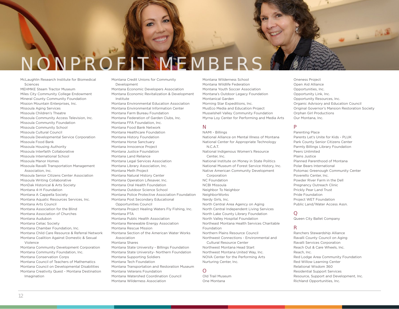

McLaughlin Research Institute for Biomedical Sciences MEHMKE Steam Tractor Museum Miles City Community College Endowment Mineral County Community Foundation Mission Mountain Enterprises, Inc. Missoula Aging Services Missoula Children's Theatre Missoula Community Access Television, Inc. Missoula Community Foundation Missoula Community School Missoula Cultural Council Missoula Developmental Service Corporation Missoula Food Bank Missoula Housing Authority Missoula Interfaith Collaborative Missoula International School Missoula Manor Homes Missoula Ravalli Transportation Management Association, Inc. Missoula Senior Citizens Center Association Missoula Writing Collaborative MonDak Historical & Arts Society Montana 4-H Foundation Montana A Cappella Society Montana Aquatic Resources Services, Inc. Montana Arts Council Montana Association for the Blind Montana Association of Churches Montana Audubon Montana Celiac Society Montana Chamber Foundation, Inc. Montana Child Care Resource & Referral Network Montana Coalition Against Domestic & Sexual Violence Montana Community Development Corporation Montana Community Foundation, Inc. Montana Conservation Corps Montana Council of Teachers of Mathematics Montana Council on Developmental Disabilities Montana Creativity Quest - Montana Destination Imagination

- Montana Credit Unions for Community Development
- Montana Economic Developers Association Montana Economic Revitalization & Development Institute

Montana Environmental Education Association Montana Environmental Information Center Montana Farm Bureau Foundation Montana Federation of Garden Clubs, Inc. Montana FFA Foundation, Inc. Montana Food Bank Network Montana Healthcare Foundation Montana History Foundation Montana Horse Sanctuary Montana Innocence Project Montana Justice Foundation Montana Land Reliance Montana Legal Services Association Montana Library Association, Inc. Montana Meth Project Montana Natural History Center Montana Operation Lifesaver, Inc. Montana Oral Health Foundation Montana Outdoor Science School Montana Police Protective Association Foundation Montana Post Secondary Educational Opportunities Council Montana Project Healing Waters Fly Fishing, Inc. Montana PTA Montana Public Health Association Montana Renewable Energy Association Montana Rescue Mission Montana Section of the American Water Works Association Montana Shares Montana State University - Billings Foundation Montana State University- Northern Foundation Montana Supporting Soldiers Montana Tech Foundation Montana Transportation and Restoration Museum Montana Veterans Foundation Montana Watershed Coordination Council Montana Wilderness Association

Montana Wilderness School Montana Wildlife Federation Montana Youth Soccer Association Montana's Outdoor Legacy Foundation Montanical Garden Morning Star Expeditions, Inc. MusEco Media and Education Project Musselshell Valley Community Foundation Myrna Loy Center for Performing and Media Arts

#### **N**

NAMI - Billings National Alliance on Mental Illness of Montana National Center for Appropriate Technology N.C.A.T. National Indigenous Women's Resource Center, Inc. National Institute on Money in State Politics National Museum of Forest Service History, Inc. Native American Community Development Corporation NC Foundation NCBI Missoula Neighbor To Neighbor NeighborWorks Nerdy Girls, Inc. North Central Area Agency on Aging North Central Independent Living Services North Lake County Library Foundation North Valley Hospital Foundation Northeast Montana Health Services Charitable Foundation Northern Plains Resource Council Northwest Connections - Environmental and Cultural Resource Center Northwest Montana Head Start Northwest Montana United Way, Inc. NOVA Center for the Performing Arts

Nurturing Center, Inc.

Old Trail Museum One Montana

**O**

Peers Unlimited Plains Justice Planned Parenthood of Montana Polar Bears International Potomac Greenough Community Center Poverello Center, Inc. Powder River Farm in the Dell Pregnancy Outreach Clinic

Prickly Pear Land Trust Pride Foundation Project WET Foundation Public Land/Water Access Assn.

Oneness Project Open Aid Alliance Opportunities, Inc. Opportunity Link, Inc. Opportunity Resources, Inc.

Parenting Place

Orphan Girl Productions Our Montana, Inc.

Organic Advisory and Education Council Original Governor's Mansion Restoration Society

Parents Let's Unite for Kids - PLUK Park County Senior Citizens Center Parmly Billings Library Foundation

#### **Q**

**P**

Queen City Ballet Company

#### **R**

Ranchers Stewardship Alliance Ravalli County Council on Aging Ravalli Services Corporation Reach Out & Care Wheels, Inc. Reach, Inc. Red Lodge Area Community Foundation Red Willow Learning Center Relational Wisdom 360 Residential Support Services Resource, Support and Development, Inc. Richland Opportunities, Inc.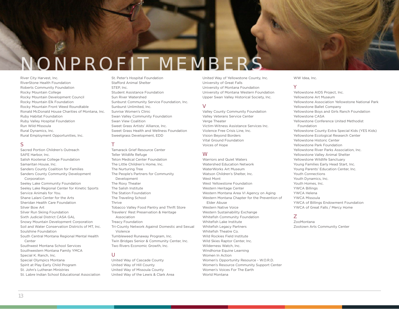## **NONPROFIT MEMBERS**

River City Harvest, Inc. RiverStone Health Foundation Roberts Community Foundation Rocky Mountain College Rocky Mountain Development Council Rocky Mountain Elk Foundation Rocky Mountain Front Weed Roundtable Ronald McDonald House Charities of Montana, Inc. Ruby Habitat Foundation Ruby Valley Hospital Foundation Run Wild Missoula Rural Dynamics, Inc. Rural Employment Opportunities, Inc.

#### **S**

Sacred Portion Children's Outreach SAFE Harbor, Inc. Salish Kootenai College Foundation Samaritan House, Inc. Sanders County Coalition for Families Sanders County Community Development Corporation Seeley Lake Community Foundation Seeley Lake Regional Center for Kinetic Sports Service Animals for You. Shane Lalani Center for the Arts Sheridan Health Care Foundation Silver Bow Art Silver Run Skiing Foundation Sixth Judicial District CASA GAL Snowy Mountain Development Corporation Soil and Water Conservation Districts of MT, Inc. Soulshine Foundation South Central Montana Regional Mental Health Center Southwest Montana School Services Southwestern Montana Family YMCA Special K. Ranch, Inc. Special Olympics Montana Spirit at Play Early Child Program St. John's Lutheran Ministries St. Labre Indian School Educational Association

St. Peter's Hospital Foundation Stafford Animal Shelter STEP, Inc. Student Assistance Foundation Sun River Watershed Sunburst Community Service Foundation, Inc. Sunburst Unlimited, Inc. Sunrise Women's Clinic Swan Valley Community Foundation Swan View Coalition Sweet Grass Artists' Alliance, Inc. Sweet Grass Health and Wellness Foundation Sweetgrass Development, EDD

#### **T**

Tamarack Grief Resource Center Teller Wildlife Refuge Teton Medical Center Foundation The Little Children's Home, Inc. The Nurturing Tree The People's Partners for Community Development The Roxy Theater The Salish Institute The Station Foundation The Traveling School Thrive Tobacco Valley Food Pantry and Thrift Store Travelers' Rest Preservation & Heritage Association Treacy Foundation Tri-County Network Against Domestic and Sexual Violence Tumbleweed Runaway Program, Inc. Twin Bridges Senior & Community Center, Inc. Two Rivers Economic Growth, Inc. **U**

United Way of Cascade County United Way of Hill County United Way of Missoula County United Way of the Lewis & Clark Area United Way of Yellowstone County, Inc. University of Great Falls University of Montana Foundation University of Montana Western Foundation Upper Swan Valley Historical Society, Inc.

#### **V**

Valley County Community Foundation Valley Veterans Service Center Verge Theater Victim-Witness Assistance Services Inc. Violence Free Crisis Line, Inc. Vision Beyond Borders Vital Ground Foundation Voices of Hope

#### **W**

Warriors and Quiet Waters Watershed Education Network WaterWorks Art Museum Watson Children's Shelter, Inc. West Mont West Yellowstone Foundation Western Heritage Center Western Montana Area VI Agency on Aging Western Montana Chapter for the Prevention of Elder Abuse Western Native Voice Western Sustainability Exchange Whitefish Community Foundation Whitefish Lake Institute Whitefish Legacy Partners Whitefish Theatre Co. Wild Rockies Field Institute Wild Skies Raptor Center, Inc. Wilderness Watch, Inc. Windhorse Equine Learning Women In Action Women's Opportunity Resource - W.O.R.D. Women's Resource Community Support Center Women's Voices For The Earth World Montana

WW Idea, Inc.

#### **Y**

Yellowstone AIDS Project, Inc. Yellowstone Art Museum Yellowstone Association Yellowstone National Park Yellowstone Ballet Company Yellowstone Boys and Girls Ranch Foundation Yellowstone CASA Yellowstone Conference United Methodist Foundation Yellowstone County Extra Special Kids (YES Kids) Yellowstone Ecological Research Center Yellowstone Historic Center Yellowstone Park Foundation Yellowstone River Parks Association, Inc. Yellowstone Valley Animal Shelter Yellowstone Wildlife Sanctuary Young Families Early Head Start, Inc. Young Parents' Education Center, Inc. Youth Connections Youth Dynamics, Inc. Youth Homes, Inc. YWCA Billings YWCA Helena YWCA Missoula YWCA of Billings Endowment Foundation YWCA of Great Falls / Mercy Home

#### **Z**

ZooMontana Zootown Arts Community Center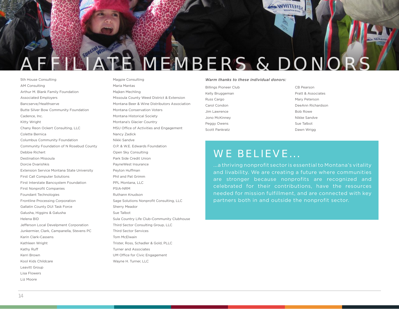

5th House Consulting AM Consulting Arthur M. Blank Family Foundation Associated Employers Bancserve/Healthserve Butte Silver Bow Community Foundation Cadence, Inc. Kitty Wright Chany Reon Ockert Consulting, LLC Colette Bernica Columbus Community Foundation Community Foundation of N Rosebud County Debbie Richert Destination Missoula Dorcie Dvarishkis Extension Service Montana State University First Call Computer Solutions First Interstate Bancsystem Foundation First Nonprofit Companies Foundant Technologies Frontline Processing Corporation Gallatin County DUI Task Force Galusha, Higgins & Galusha Helena BID Jefferson Local Develpment Corporation Junkermier, Clark, Campanella, Stevens PC Karin Clark-Cassens Kathleen Wright Kathy Ruff Kerri Brown Kool Kids Childcare Leavitt Group Lisa Flowers Liz Moore

Magpie Consulting Maria Mantas Majken Mechling Missoula County Weed District & Extension Montana Beer & Wine Distributors Association Montana Conservation Voters Montana Historical Society Montana's Glacier Country MSU Office of Activities and Engagement Nancy Zadick Nikki Sandve O.P. & W.E. Edwards Foundation Open Sky Consulting Park Side Credit Union PayneWest Insurance Peyton Huffman Phil and Pat Grimm PPL Montana, LLC PSIA-NRM Ruthann Knudson Sage Solutions Nonprofit Consulting, LLC Sherry Meador Sue Talbot Sula Country Life Club-Community Clubhouse Third Sector Consulting Group, LLC Third Sector Services Tom McElwain Trister, Ross, Schadler & Gold, PLLC Turner and Associates UM Office for Civic Engagement Wayne H. Turner, LLC

#### *Warm thanks to these individual donors:*

Billings Pioneer Club Kelly Bruggeman Russ Cargo Carol Condon Jim Lawrence Jono McKinney Peggy Owens Scott Pankratz

CB Pearson Pratt & Associates Mary Peterson DeeAnn Richardson Bob Rowe Nikke Sandve Sue Talbot Dawn Wrigg

### **WE BELIEVE...**

...a thriving nonprofit sector is essential to Montana's vitality and livability. We are creating a future where communities are stronger because nonprofits are recognized and celebrated for their contributions, have the resources needed for mission fulfillment, and are connected with key partners both in and outside the nonprofit sector.